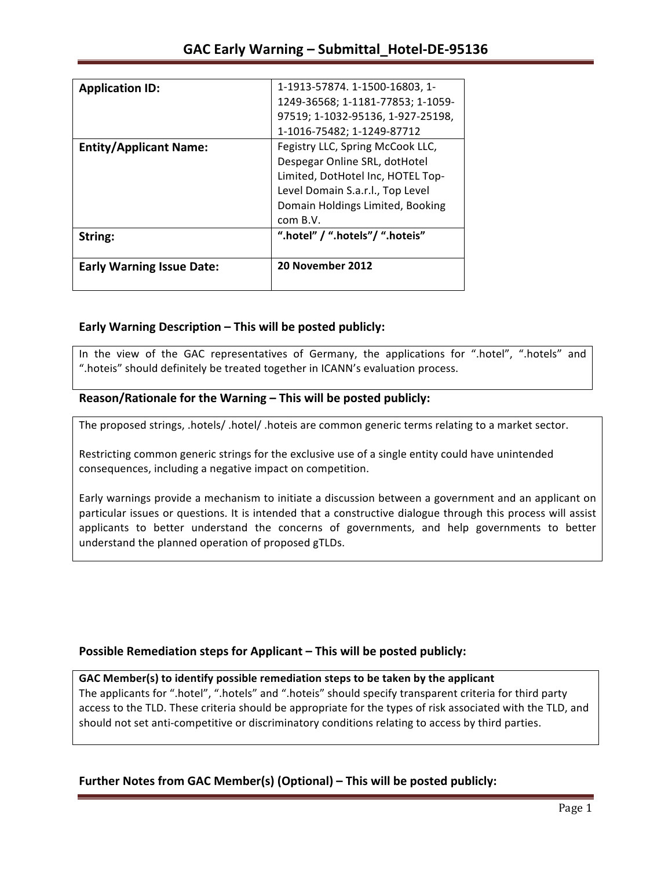| String:<br><b>Early Warning Issue Date:</b> | ".hotel" / ".hotels"/ ".hoteis"<br>20 November 2012 |
|---------------------------------------------|-----------------------------------------------------|
|                                             | com B.V.                                            |
|                                             | Domain Holdings Limited, Booking                    |
|                                             | Level Domain S.a.r.l., Top Level                    |
|                                             | Limited, DotHotel Inc, HOTEL Top-                   |
|                                             | Despegar Online SRL, dotHotel                       |
| <b>Entity/Applicant Name:</b>               | Fegistry LLC, Spring McCook LLC,                    |
|                                             | 1-1016-75482; 1-1249-87712                          |
|                                             | 97519; 1-1032-95136, 1-927-25198,                   |
|                                             | 1249-36568; 1-1181-77853; 1-1059-                   |
| <b>Application ID:</b>                      | 1-1913-57874. 1-1500-16803, 1-                      |

## **Early Warning Description – This will be posted publicly:**

In the view of the GAC representatives of Germany, the applications for ".hotel", ".hotels" and ".hoteis" should definitely be treated together in ICANN's evaluation process.

## Reason/Rationale for the Warning – This will be posted publicly:

The proposed strings, .hotels/ .hotel/ .hoteis are common generic terms relating to a market sector.

Restricting common generic strings for the exclusive use of a single entity could have unintended consequences, including a negative impact on competition.

Early warnings provide a mechanism to initiate a discussion between a government and an applicant on particular issues or questions. It is intended that a constructive dialogue through this process will assist applicants to better understand the concerns of governments, and help governments to better understand the planned operation of proposed gTLDs.

## **Possible Remediation steps for Applicant – This will be posted publicly:**

### GAC Member(s) to identify possible remediation steps to be taken by the applicant

The applicants for ".hotel", ".hotels" and ".hoteis" should specify transparent criteria for third party access to the TLD. These criteria should be appropriate for the types of risk associated with the TLD, and should not set anti-competitive or discriminatory conditions relating to access by third parties.

## **Further Notes from GAC Member(s) (Optional)** – This will be posted publicly: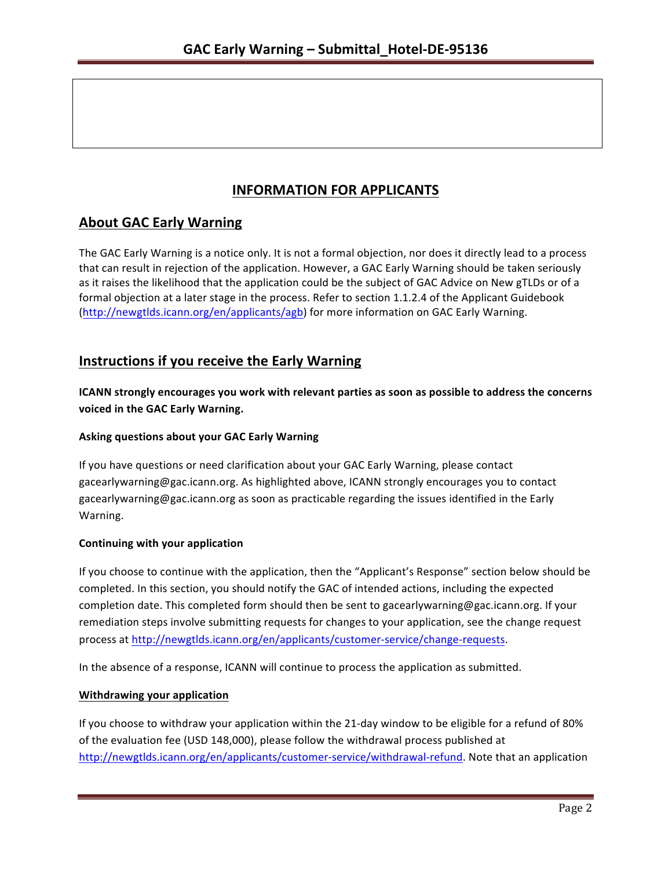# **INFORMATION FOR APPLICANTS**

# **About GAC Early Warning**

The GAC Early Warning is a notice only. It is not a formal objection, nor does it directly lead to a process that can result in rejection of the application. However, a GAC Early Warning should be taken seriously as it raises the likelihood that the application could be the subject of GAC Advice on New gTLDs or of a formal objection at a later stage in the process. Refer to section 1.1.2.4 of the Applicant Guidebook (http://newgtlds.icann.org/en/applicants/agb) for more information on GAC Early Warning.

## **Instructions if you receive the Early Warning**

**ICANN** strongly encourages you work with relevant parties as soon as possible to address the concerns **voiced in the GAC Early Warning.** 

### **Asking questions about your GAC Early Warning**

If you have questions or need clarification about your GAC Early Warning, please contact gacearlywarning@gac.icann.org. As highlighted above, ICANN strongly encourages you to contact gacearlywarning@gac.icann.org as soon as practicable regarding the issues identified in the Early Warning. 

### **Continuing with your application**

If you choose to continue with the application, then the "Applicant's Response" section below should be completed. In this section, you should notify the GAC of intended actions, including the expected completion date. This completed form should then be sent to gacearlywarning@gac.icann.org. If your remediation steps involve submitting requests for changes to your application, see the change request process at http://newgtlds.icann.org/en/applicants/customer-service/change-requests.

In the absence of a response, ICANN will continue to process the application as submitted.

### **Withdrawing your application**

If you choose to withdraw your application within the 21-day window to be eligible for a refund of 80% of the evaluation fee (USD 148,000), please follow the withdrawal process published at http://newgtlds.icann.org/en/applicants/customer-service/withdrawal-refund. Note that an application